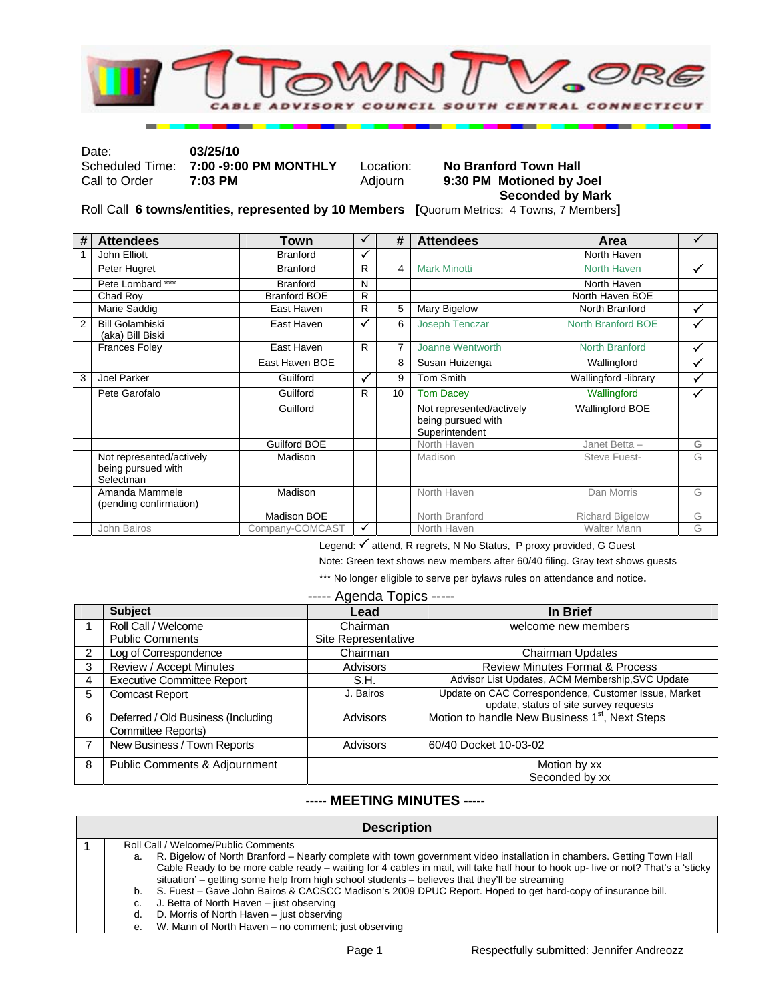

Date: **03/25/10** 

### Scheduled Time: **7:00 -9:00 PM MONTHLY** Location: **No Branford Town Hall Call to Order 7:03 PM Motioned by J** 9:30 PM Motioned by Joel  **Seconded by Mark**

Roll Call **6 towns/entities, represented by 10 Members [**Quorum Metrics: 4 Towns, 7 Members**]**

| #              | <b>Attendees</b>                                            | Town                | ✓  | #              | <b>Attendees</b>                                                 | Area                   |   |
|----------------|-------------------------------------------------------------|---------------------|----|----------------|------------------------------------------------------------------|------------------------|---|
|                | John Elliott                                                | <b>Branford</b>     | ✓  |                |                                                                  | North Haven            |   |
|                | Peter Hugret                                                | <b>Branford</b>     | R  | 4              | <b>Mark Minotti</b>                                              | North Haven            | ✓ |
|                | Pete Lombard ***                                            | <b>Branford</b>     | N  |                |                                                                  | North Haven            |   |
|                | Chad Roy                                                    | <b>Branford BOE</b> | R  |                |                                                                  | North Haven BOE        |   |
|                | Marie Saddig                                                | East Haven          | R  | 5              | Mary Bigelow                                                     | North Branford         | ✓ |
| $\overline{2}$ | <b>Bill Golambiski</b><br>(aka) Bill Biski                  | East Haven          | ✓  | 6              | Joseph Tenczar                                                   | North Branford BOE     |   |
|                | <b>Frances Foley</b>                                        | East Haven          | R. | $\overline{7}$ | Joanne Wentworth                                                 | <b>North Branford</b>  | ✓ |
|                |                                                             | East Haven BOE      |    | 8              | Susan Huizenga                                                   | Wallingford            | ✓ |
| 3              | Joel Parker                                                 | Guilford            | ✓  | 9              | <b>Tom Smith</b>                                                 | Wallingford -library   | ✓ |
|                | Pete Garofalo                                               | Guilford            | R  | 10             | <b>Tom Dacey</b>                                                 | Wallingford            | ✓ |
|                |                                                             | Guilford            |    |                | Not represented/actively<br>being pursued with<br>Superintendent | <b>Wallingford BOE</b> |   |
|                |                                                             | Guilford BOE        |    |                | North Haven                                                      | Janet Betta -          | G |
|                | Not represented/actively<br>being pursued with<br>Selectman | Madison             |    |                | Madison                                                          | Steve Fuest-           | G |
|                | Amanda Mammele<br>(pending confirmation)                    | Madison             |    |                | North Haven                                                      | Dan Morris             | G |
|                |                                                             | Madison BOE         |    |                | North Branford                                                   | <b>Richard Bigelow</b> | G |
|                | John Bairos                                                 | Company-COMCAST     | ✓  |                | North Haven                                                      | <b>Walter Mann</b>     | G |

Legend: √ attend, R regrets, N No Status, P proxy provided, G Guest

Note: Green text shows new members after 60/40 filing. Gray text shows guests

\*\*\* No longer eligible to serve per bylaws rules on attendance and notice.

|  | ----- Agenda Topics ----- |  |  |
|--|---------------------------|--|--|
|--|---------------------------|--|--|

|               | <b>Subject</b>                                           | Lead                | In Brief                                                                                       |
|---------------|----------------------------------------------------------|---------------------|------------------------------------------------------------------------------------------------|
|               | Roll Call / Welcome                                      | Chairman            | welcome new members                                                                            |
|               | <b>Public Comments</b>                                   | Site Representative |                                                                                                |
| $\mathcal{P}$ | Log of Correspondence                                    | Chairman            | Chairman Updates                                                                               |
| 3             | Review / Accept Minutes                                  | Advisors            | <b>Review Minutes Format &amp; Process</b>                                                     |
| 4             | <b>Executive Committee Report</b>                        | S.H.                | Advisor List Updates, ACM Membership, SVC Update                                               |
| 5             | <b>Comcast Report</b>                                    | J. Bairos           | Update on CAC Correspondence, Customer Issue, Market<br>update, status of site survey requests |
| 6             | Deferred / Old Business (Including<br>Committee Reports) | <b>Advisors</b>     | Motion to handle New Business 1 <sup>st</sup> , Next Steps                                     |
|               | New Business / Town Reports                              | Advisors            | 60/40 Docket 10-03-02                                                                          |
| 8             | Public Comments & Adjournment                            |                     | Motion by xx                                                                                   |
|               |                                                          |                     | Seconded by xx                                                                                 |

#### **----- MEETING MINUTES -----**

| <b>Description</b> |                                                                                                                                  |  |  |  |
|--------------------|----------------------------------------------------------------------------------------------------------------------------------|--|--|--|
|                    | Roll Call / Welcome/Public Comments                                                                                              |  |  |  |
| а.                 | R. Bigelow of North Branford – Nearly complete with town government video installation in chambers. Getting Town Hall            |  |  |  |
|                    | Cable Ready to be more cable ready – waiting for 4 cables in mail, will take half hour to hook up- live or not? That's a 'sticky |  |  |  |
|                    | situation' – getting some help from high school students – believes that they'll be streaming                                    |  |  |  |
| b.                 | S. Fuest – Gave John Bairos & CACSCC Madison's 2009 DPUC Report. Hoped to get hard-copy of insurance bill.                       |  |  |  |
| C.                 | J. Betta of North Haven – just observing                                                                                         |  |  |  |
| d.                 | D. Morris of North Haven – just observing                                                                                        |  |  |  |
|                    |                                                                                                                                  |  |  |  |

e. W. Mann of North Haven – no comment; just observing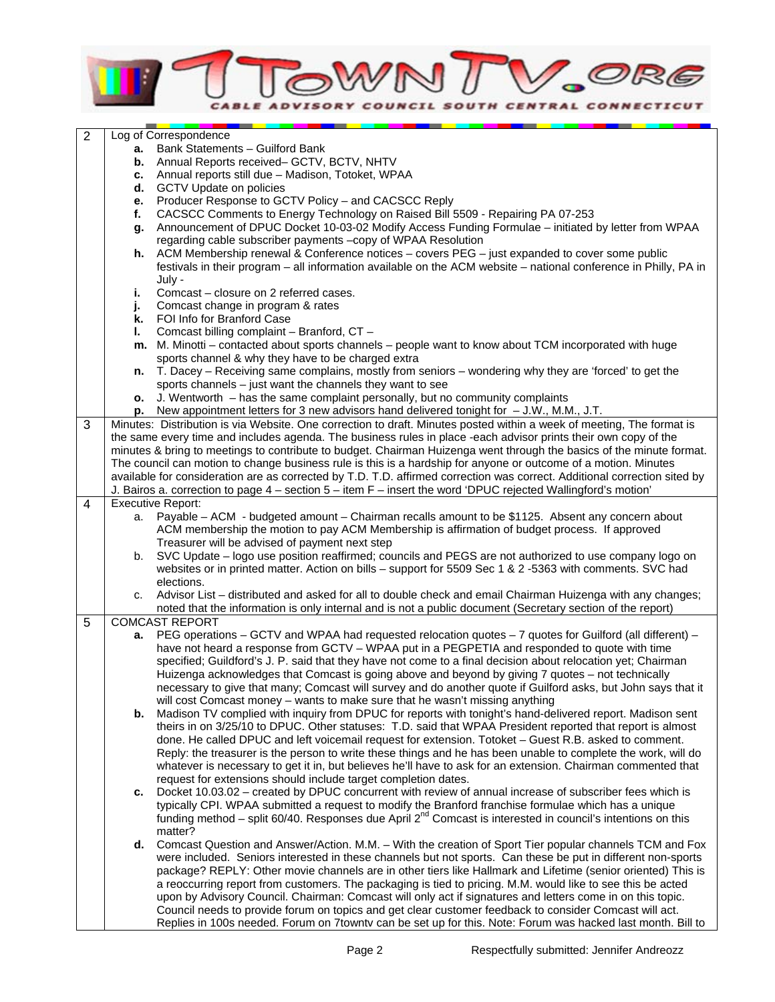

| $\overline{2}$ |      | Log of Correspondence                                                                                                                                                                                                                    |
|----------------|------|------------------------------------------------------------------------------------------------------------------------------------------------------------------------------------------------------------------------------------------|
|                | а. – | Bank Statements - Guilford Bank                                                                                                                                                                                                          |
|                | b.   | Annual Reports received- GCTV, BCTV, NHTV                                                                                                                                                                                                |
|                | с.   | Annual reports still due - Madison, Totoket, WPAA                                                                                                                                                                                        |
|                | d.   | GCTV Update on policies                                                                                                                                                                                                                  |
|                | е.   | Producer Response to GCTV Policy - and CACSCC Reply                                                                                                                                                                                      |
|                | f.   | CACSCC Comments to Energy Technology on Raised Bill 5509 - Repairing PA 07-253                                                                                                                                                           |
|                | g.   | Announcement of DPUC Docket 10-03-02 Modify Access Funding Formulae - initiated by letter from WPAA                                                                                                                                      |
|                |      | regarding cable subscriber payments -copy of WPAA Resolution                                                                                                                                                                             |
|                | h.   | ACM Membership renewal & Conference notices - covers PEG - just expanded to cover some public                                                                                                                                            |
|                |      | festivals in their program - all information available on the ACM website - national conference in Philly, PA in                                                                                                                         |
|                |      | July -                                                                                                                                                                                                                                   |
|                | i.   | Comcast - closure on 2 referred cases.                                                                                                                                                                                                   |
|                | j.   | Comcast change in program & rates                                                                                                                                                                                                        |
|                | k.   | FOI Info for Branford Case                                                                                                                                                                                                               |
|                | L.   | Comcast billing complaint - Branford, CT -                                                                                                                                                                                               |
|                |      | m. M. Minotti - contacted about sports channels - people want to know about TCM incorporated with huge                                                                                                                                   |
|                |      | sports channel & why they have to be charged extra                                                                                                                                                                                       |
|                |      | T. Dacey - Receiving same complains, mostly from seniors - wondering why they are 'forced' to get the                                                                                                                                    |
|                | n.   | sports channels $-$ just want the channels they want to see                                                                                                                                                                              |
|                |      | J. Wentworth – has the same complaint personally, but no community complaints                                                                                                                                                            |
|                | о.   | New appointment letters for 3 new advisors hand delivered tonight for $-$ J.W., M.M., J.T.                                                                                                                                               |
|                | р.   |                                                                                                                                                                                                                                          |
| 3              |      | Minutes: Distribution is via Website. One correction to draft. Minutes posted within a week of meeting, The format is<br>the same every time and includes agenda. The business rules in place -each advisor prints their own copy of the |
|                |      | minutes & bring to meetings to contribute to budget. Chairman Huizenga went through the basics of the minute format.                                                                                                                     |
|                |      | The council can motion to change business rule is this is a hardship for anyone or outcome of a motion. Minutes                                                                                                                          |
|                |      | available for consideration are as corrected by T.D. T.D. affirmed correction was correct. Additional correction sited by                                                                                                                |
|                |      | J. Bairos a. correction to page 4 – section 5 – item F – insert the word 'DPUC rejected Wallingford's motion'                                                                                                                            |
| 4              |      | <b>Executive Report:</b>                                                                                                                                                                                                                 |
|                | a.   | Payable - ACM - budgeted amount - Chairman recalls amount to be \$1125. Absent any concern about                                                                                                                                         |
|                |      | ACM membership the motion to pay ACM Membership is affirmation of budget process. If approved                                                                                                                                            |
|                |      | Treasurer will be advised of payment next step                                                                                                                                                                                           |
|                | b.   | SVC Update - logo use position reaffirmed; councils and PEGS are not authorized to use company logo on                                                                                                                                   |
|                |      | websites or in printed matter. Action on bills - support for 5509 Sec 1 & 2 -5363 with comments. SVC had                                                                                                                                 |
|                |      | elections.                                                                                                                                                                                                                               |
|                | c.   | Advisor List - distributed and asked for all to double check and email Chairman Huizenga with any changes;                                                                                                                               |
|                |      | noted that the information is only internal and is not a public document (Secretary section of the report)                                                                                                                               |
| 5              |      | <b>COMCAST REPORT</b>                                                                                                                                                                                                                    |
|                | а.   | PEG operations – GCTV and WPAA had requested relocation quotes – 7 quotes for Guilford (all different) –                                                                                                                                 |
|                |      | have not heard a response from GCTV - WPAA put in a PEGPETIA and responded to quote with time                                                                                                                                            |
|                |      | specified; Guildford's J. P. said that they have not come to a final decision about relocation yet; Chairman                                                                                                                             |
|                |      | Huizenga acknowledges that Comcast is going above and beyond by giving 7 quotes - not technically                                                                                                                                        |
|                |      | necessary to give that many; Comcast will survey and do another quote if Guilford asks, but John says that it                                                                                                                            |
|                |      | will cost Comcast money - wants to make sure that he wasn't missing anything                                                                                                                                                             |
|                | b.   | Madison TV complied with inquiry from DPUC for reports with tonight's hand-delivered report. Madison sent                                                                                                                                |
|                |      | theirs in on 3/25/10 to DPUC. Other statuses: T.D. said that WPAA President reported that report is almost                                                                                                                               |
|                |      | done. He called DPUC and left voicemail request for extension. Totoket - Guest R.B. asked to comment.                                                                                                                                    |
|                |      | Reply: the treasurer is the person to write these things and he has been unable to complete the work, will do                                                                                                                            |
|                |      | whatever is necessary to get it in, but believes he'll have to ask for an extension. Chairman commented that                                                                                                                             |
|                |      | request for extensions should include target completion dates.                                                                                                                                                                           |
|                | с.   | Docket 10.03.02 - created by DPUC concurrent with review of annual increase of subscriber fees which is                                                                                                                                  |
|                |      | typically CPI. WPAA submitted a request to modify the Branford franchise formulae which has a unique                                                                                                                                     |
|                |      | funding method – split 60/40. Responses due April 2 <sup>nd</sup> Comcast is interested in council's intentions on this                                                                                                                  |
|                |      | matter?                                                                                                                                                                                                                                  |
|                | d.   | Comcast Question and Answer/Action. M.M. - With the creation of Sport Tier popular channels TCM and Fox                                                                                                                                  |
|                |      | were included. Seniors interested in these channels but not sports. Can these be put in different non-sports                                                                                                                             |
|                |      | package? REPLY: Other movie channels are in other tiers like Hallmark and Lifetime (senior oriented) This is                                                                                                                             |
|                |      | a reoccurring report from customers. The packaging is tied to pricing. M.M. would like to see this be acted                                                                                                                              |
|                |      | upon by Advisory Council. Chairman: Comcast will only act if signatures and letters come in on this topic.                                                                                                                               |
|                |      | Council needs to provide forum on topics and get clear customer feedback to consider Comcast will act.                                                                                                                                   |
|                |      | Replies in 100s needed. Forum on 7 townty can be set up for this. Note: Forum was hacked last month. Bill to                                                                                                                             |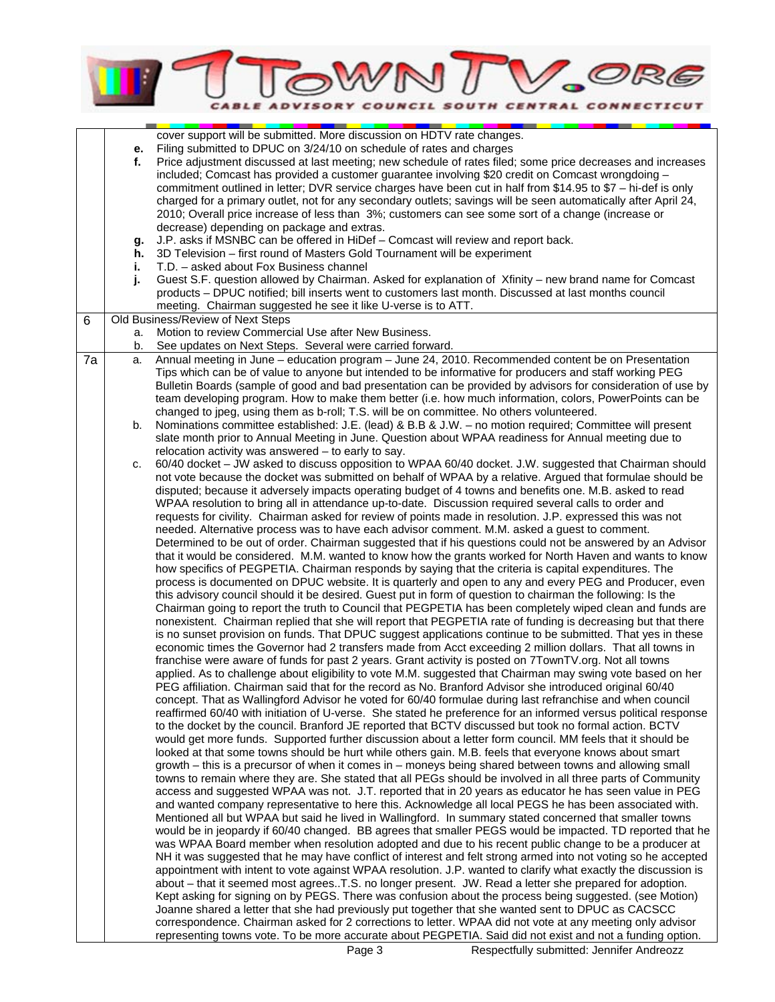# OWN V.ORG E ADVISORY COUNCIL SOUTH CENTRAL CONNECTICUT

|    |    | cover support will be submitted. More discussion on HDTV rate changes.                                          |
|----|----|-----------------------------------------------------------------------------------------------------------------|
|    | е. | Filing submitted to DPUC on 3/24/10 on schedule of rates and charges                                            |
|    | f. | Price adjustment discussed at last meeting; new schedule of rates filed; some price decreases and increases     |
|    |    | included; Comcast has provided a customer guarantee involving \$20 credit on Comcast wrongdoing -               |
|    |    |                                                                                                                 |
|    |    | commitment outlined in letter; DVR service charges have been cut in half from \$14.95 to \$7 - hi-def is only   |
|    |    | charged for a primary outlet, not for any secondary outlets; savings will be seen automatically after April 24, |
|    |    | 2010; Overall price increase of less than 3%; customers can see some sort of a change (increase or              |
|    |    | decrease) depending on package and extras.                                                                      |
|    |    | J.P. asks if MSNBC can be offered in HiDef - Comcast will review and report back.                               |
|    | g. |                                                                                                                 |
|    | h. | 3D Television - first round of Masters Gold Tournament will be experiment                                       |
|    | i. | T.D. - asked about Fox Business channel                                                                         |
|    | j. | Guest S.F. question allowed by Chairman. Asked for explanation of Xfinity - new brand name for Comcast          |
|    |    | products - DPUC notified; bill inserts went to customers last month. Discussed at last months council           |
|    |    | meeting. Chairman suggested he see it like U-verse is to ATT.                                                   |
| 6  |    | Old Business/Review of Next Steps                                                                               |
|    |    |                                                                                                                 |
|    | a. | Motion to review Commercial Use after New Business.                                                             |
|    | b. | See updates on Next Steps. Several were carried forward.                                                        |
| 7a | a. | Annual meeting in June - education program - June 24, 2010. Recommended content be on Presentation              |
|    |    | Tips which can be of value to anyone but intended to be informative for producers and staff working PEG         |
|    |    | Bulletin Boards (sample of good and bad presentation can be provided by advisors for consideration of use by    |
|    |    | team developing program. How to make them better (i.e. how much information, colors, PowerPoints can be         |
|    |    |                                                                                                                 |
|    |    | changed to jpeg, using them as b-roll; T.S. will be on committee. No others volunteered.                        |
|    | b. | Nominations committee established: J.E. (lead) & B.B & J.W. - no motion required; Committee will present        |
|    |    | slate month prior to Annual Meeting in June. Question about WPAA readiness for Annual meeting due to            |
|    |    | relocation activity was answered – to early to say.                                                             |
|    | c. | 60/40 docket - JW asked to discuss opposition to WPAA 60/40 docket. J.W. suggested that Chairman should         |
|    |    | not vote because the docket was submitted on behalf of WPAA by a relative. Argued that formulae should be       |
|    |    |                                                                                                                 |
|    |    | disputed; because it adversely impacts operating budget of 4 towns and benefits one. M.B. asked to read         |
|    |    | WPAA resolution to bring all in attendance up-to-date. Discussion required several calls to order and           |
|    |    | requests for civility. Chairman asked for review of points made in resolution. J.P. expressed this was not      |
|    |    | needed. Alternative process was to have each advisor comment. M.M. asked a guest to comment.                    |
|    |    | Determined to be out of order. Chairman suggested that if his questions could not be answered by an Advisor     |
|    |    |                                                                                                                 |
|    |    | that it would be considered. M.M. wanted to know how the grants worked for North Haven and wants to know        |
|    |    | how specifics of PEGPETIA. Chairman responds by saying that the criteria is capital expenditures. The           |
|    |    | process is documented on DPUC website. It is quarterly and open to any and every PEG and Producer, even         |
|    |    | this advisory council should it be desired. Guest put in form of question to chairman the following: Is the     |
|    |    | Chairman going to report the truth to Council that PEGPETIA has been completely wiped clean and funds are       |
|    |    | nonexistent. Chairman replied that she will report that PEGPETIA rate of funding is decreasing but that there   |
|    |    |                                                                                                                 |
|    |    | is no sunset provision on funds. That DPUC suggest applications continue to be submitted. That yes in these     |
|    |    | economic times the Governor had 2 transfers made from Acct exceeding 2 million dollars. That all towns in       |
|    |    | franchise were aware of funds for past 2 years. Grant activity is posted on 7TownTV.org. Not all towns          |
|    |    | applied. As to challenge about eligibility to vote M.M. suggested that Chairman may swing vote based on her     |
|    |    | PEG affiliation. Chairman said that for the record as No. Branford Advisor she introduced original 60/40        |
|    |    | concept. That as Wallingford Advisor he voted for 60/40 formulae during last refranchise and when council       |
|    |    |                                                                                                                 |
|    |    | reaffirmed 60/40 with initiation of U-verse. She stated he preference for an informed versus political response |
|    |    | to the docket by the council. Branford JE reported that BCTV discussed but took no formal action. BCTV          |
|    |    | would get more funds. Supported further discussion about a letter form council. MM feels that it should be      |
|    |    | looked at that some towns should be hurt while others gain. M.B. feels that everyone knows about smart          |
|    |    | growth – this is a precursor of when it comes in – moneys being shared between towns and allowing small         |
|    |    | towns to remain where they are. She stated that all PEGs should be involved in all three parts of Community     |
|    |    |                                                                                                                 |
|    |    | access and suggested WPAA was not. J.T. reported that in 20 years as educator he has seen value in PEG          |
|    |    | and wanted company representative to here this. Acknowledge all local PEGS he has been associated with.         |
|    |    | Mentioned all but WPAA but said he lived in Wallingford. In summary stated concerned that smaller towns         |
|    |    | would be in jeopardy if 60/40 changed. BB agrees that smaller PEGS would be impacted. TD reported that he       |
|    |    | was WPAA Board member when resolution adopted and due to his recent public change to be a producer at           |
|    |    | NH it was suggested that he may have conflict of interest and felt strong armed into not voting so he accepted  |
|    |    |                                                                                                                 |
|    |    | appointment with intent to vote against WPAA resolution. J.P. wanted to clarify what exactly the discussion is  |
|    |    | about - that it seemed most agreesT.S. no longer present. JW. Read a letter she prepared for adoption.          |
|    |    | Kept asking for signing on by PEGS. There was confusion about the process being suggested. (see Motion)         |
|    |    | Joanne shared a letter that she had previously put together that she wanted sent to DPUC as CACSCC              |
|    |    | correspondence. Chairman asked for 2 corrections to letter. WPAA did not vote at any meeting only advisor       |
|    |    | representing towns vote. To be more accurate about PEGPETIA. Said did not exist and not a funding option.       |
|    |    |                                                                                                                 |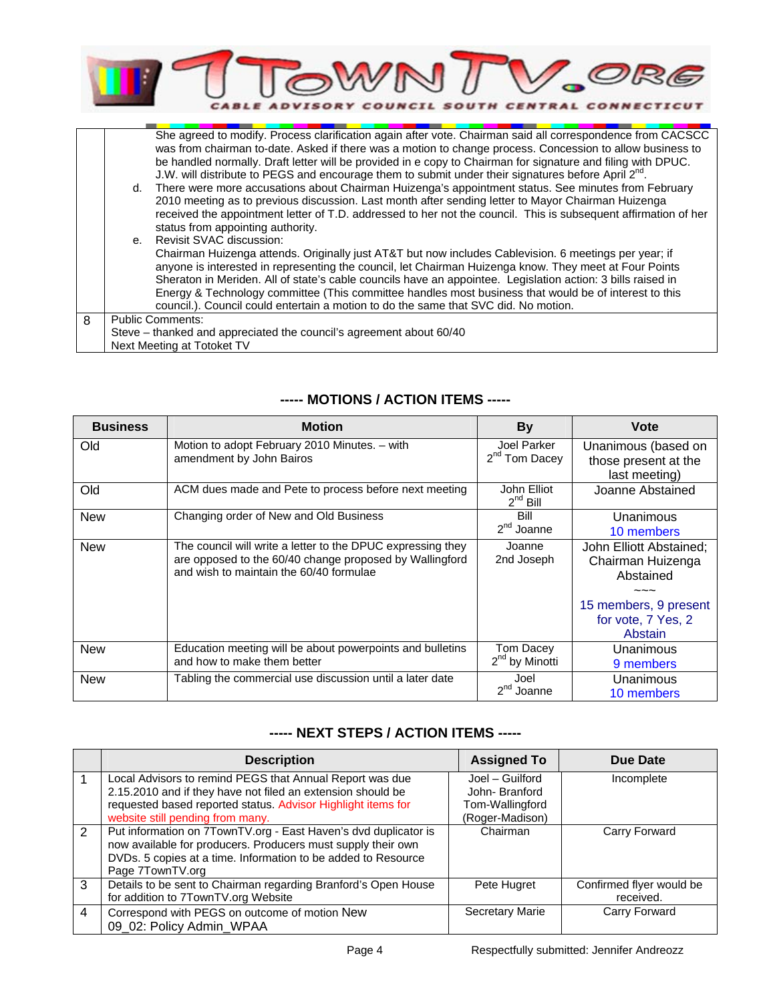

|   |                                                                     | She agreed to modify. Process clarification again after vote. Chairman said all correspondence from CACSCC      |  |
|---|---------------------------------------------------------------------|-----------------------------------------------------------------------------------------------------------------|--|
|   |                                                                     | was from chairman to-date. Asked if there was a motion to change process. Concession to allow business to       |  |
|   |                                                                     | be handled normally. Draft letter will be provided in e copy to Chairman for signature and filing with DPUC.    |  |
|   |                                                                     | J.W. will distribute to PEGS and encourage them to submit under their signatures before April 2 <sup>nd</sup> . |  |
|   |                                                                     | d. There were more accusations about Chairman Huizenga's appointment status. See minutes from February          |  |
|   |                                                                     | 2010 meeting as to previous discussion. Last month after sending letter to Mayor Chairman Huizenga              |  |
|   |                                                                     | received the appointment letter of T.D. addressed to her not the council. This is subsequent affirmation of her |  |
|   |                                                                     | status from appointing authority.                                                                               |  |
|   |                                                                     | e. Revisit SVAC discussion:                                                                                     |  |
|   |                                                                     | Chairman Huizenga attends. Originally just AT&T but now includes Cablevision. 6 meetings per year; if           |  |
|   |                                                                     | anyone is interested in representing the council, let Chairman Huizenga know. They meet at Four Points          |  |
|   |                                                                     | Sheraton in Meriden. All of state's cable councils have an appointee. Legislation action: 3 bills raised in     |  |
|   |                                                                     | Energy & Technology committee (This committee handles most business that would be of interest to this           |  |
|   |                                                                     | council.). Council could entertain a motion to do the same that SVC did. No motion.                             |  |
| 8 | <b>Public Comments:</b>                                             |                                                                                                                 |  |
|   | Steve – thanked and appreciated the council's agreement about 60/40 |                                                                                                                 |  |
|   | Next Meeting at Totoket TV                                          |                                                                                                                 |  |

## **----- MOTIONS / ACTION ITEMS -----**

| <b>Business</b> | <b>Motion</b>                                                                                                                                                     | <b>By</b>                                | Vote                                                         |
|-----------------|-------------------------------------------------------------------------------------------------------------------------------------------------------------------|------------------------------------------|--------------------------------------------------------------|
| Old             | Motion to adopt February 2010 Minutes. - with<br>amendment by John Bairos                                                                                         | Joel Parker<br>2 <sup>nd</sup> Tom Dacey | Unanimous (based on<br>those present at the<br>last meeting) |
| Old             | ACM dues made and Pete to process before next meeting                                                                                                             | John Elliot<br>$2^{nd}$ Bill             | Joanne Abstained                                             |
| <b>New</b>      | Changing order of New and Old Business                                                                                                                            | Bill<br>$2nd$ Joanne                     | Unanimous<br>10 members                                      |
| <b>New</b>      | The council will write a letter to the DPUC expressing they<br>are opposed to the 60/40 change proposed by Wallingford<br>and wish to maintain the 60/40 formulae | Joanne<br>2nd Joseph                     | John Elliott Abstained:<br>Chairman Huizenga<br>Abstained    |
|                 |                                                                                                                                                                   |                                          | 15 members, 9 present<br>for vote, 7 Yes, 2<br>Abstain       |
| <b>New</b>      | Education meeting will be about powerpoints and bulletins<br>and how to make them better                                                                          | Tom Dacey<br>$2nd$ by Minotti            | Unanimous<br>9 members                                       |
| <b>New</b>      | Tabling the commercial use discussion until a later date                                                                                                          | Joel<br>2 <sup>nd</sup><br>Joanne        | Unanimous<br>10 members                                      |

### **----- NEXT STEPS / ACTION ITEMS -----**

|   | <b>Description</b>                                                                                                                                                                                                          | <b>Assigned To</b>                                                     | Due Date                              |
|---|-----------------------------------------------------------------------------------------------------------------------------------------------------------------------------------------------------------------------------|------------------------------------------------------------------------|---------------------------------------|
|   | Local Advisors to remind PEGS that Annual Report was due<br>2.15.2010 and if they have not filed an extension should be<br>requested based reported status. Advisor Highlight items for<br>website still pending from many. | Joel - Guilford<br>John-Branford<br>Tom-Wallingford<br>(Roger-Madison) | Incomplete                            |
| 2 | Put information on 7TownTV.org - East Haven's dvd duplicator is<br>now available for producers. Producers must supply their own<br>DVDs. 5 copies at a time. Information to be added to Resource<br>Page 7TownTV.org        | Chairman                                                               | Carry Forward                         |
| 3 | Details to be sent to Chairman regarding Branford's Open House<br>for addition to 7TownTV.org Website                                                                                                                       | Pete Hugret                                                            | Confirmed flyer would be<br>received. |
| 4 | Correspond with PEGS on outcome of motion New<br>09 02: Policy Admin WPAA                                                                                                                                                   | <b>Secretary Marie</b>                                                 | Carry Forward                         |